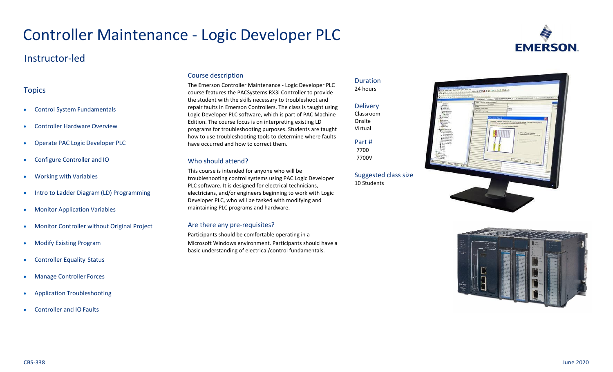# Controller Maintenance - Logic Developer PLC

## Instructor-led

## **Topics**

- Control System Fundamentals
- Controller Hardware Overview
- Operate PAC Logic Developer PLC
- Configure Controller and IO
- Working with Variables
- Intro to Ladder Diagram (LD) Programming
- Monitor Application Variables
- Monitor Controller without Original Project
- Modify Existing Program
- Controller Equality Status
- Manage Controller Forces
- Application Troubleshooting
- Controller and IO Faults

## Course description

The Emerson Controller Maintenance - Logic Developer PLC course features the PACSystems RX3i Controller to provide the student with the skills necessary to troubleshoot and repair faults in Emerson Controllers. The class is taught using Logic Developer PLC software, which is part of PAC Machine Edition. The course focus is on interpreting existing LD programs for troubleshooting purposes. Students are taught how to use troubleshooting tools to determine where faults have occurred and how to correct them.

## Who should attend?

This course is intended for anyone who will be troubleshooting control systems using PAC Logic Developer PLC software. It is designed for electrical technicians, electricians, and/or engineers beginning to work with Logic Developer PLC, who will be tasked with modifying and maintaining PLC programs and hardware.

## Are there any pre-requisites?

Participants should be comfortable operating in a Microsoft Windows environment. Participants should have a basic understanding of electrical/control fundamentals.





Suggested class size 10 Students